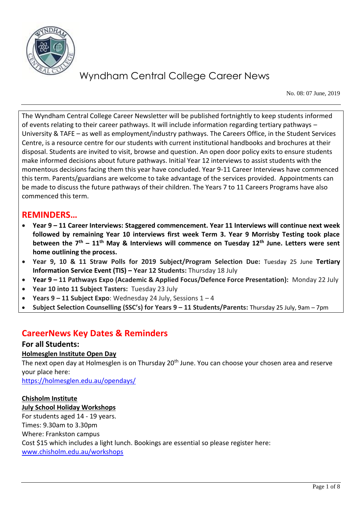

No. 08: 07 June, 2019

The Wyndham Central College Career Newsletter will be published fortnightly to keep students informed of events relating to their career pathways. It will include information regarding tertiary pathways – University & TAFE – as well as employment/industry pathways. The Careers Office, in the Student Services Centre, is a resource centre for our students with current institutional handbooks and brochures at their disposal. Students are invited to visit, browse and question. An open door policy exits to ensure students make informed decisions about future pathways. Initial Year 12 interviews to assist students with the momentous decisions facing them this year have concluded. Year 9-11 Career Interviews have commenced this term. Parents/guardians are welcome to take advantage of the services provided. Appointments can be made to discuss the future pathways of their children. The Years 7 to 11 Careers Programs have also commenced this term.

### **REMINDERS…**

- **Year 9 – 11 Career Interviews: Staggered commencement. Year 11 Interviews will continue next week followed by remaining Year 10 interviews first week Term 3. Year 9 Morrisby Testing took place between the 7th – 11th May & Interviews will commence on Tuesday 12th June. Letters were sent home outlining the process.**
- **Year 9, 10 & 11 Straw Polls for 2019 Subject/Program Selection Due:** Tuesday 25 June **Tertiary Information Service Event (TIS) – Year 12 Students: Thursday 18 July**
- **Year 9 – 11 Pathways Expo (Academic & Applied Focus/Defence Force Presentation):** Monday 22 July
- **Year 10 into 11 Subject Tasters:** Tuesday 23 July
- **Years 9 – 11 Subject Expo**: Wednesday 24 July, Sessions 1 4
- **Subject Selection Counselling (SSC's) for Years 9 – 11 Students/Parents:** Thursday 25 July, 9am 7pm

### **CareerNews Key Dates & Reminders**

#### **For all Students:**

#### **Holmesglen Institute Open Day**

The next open day at Holmesglen is on Thursday 20<sup>th</sup> June. You can choose your chosen area and reserve your place here:

<https://holmesglen.edu.au/opendays/>

#### **Chisholm Institute**

#### **July School Holiday Workshops**

For students aged 14 - 19 years. Times: 9.30am to 3.30pm Where: Frankston campus Cost \$15 which includes a light lunch. Bookings are essential so please register here: [www.chisholm.edu.au/workshops](http://www.chisholm.edu.au/workshops)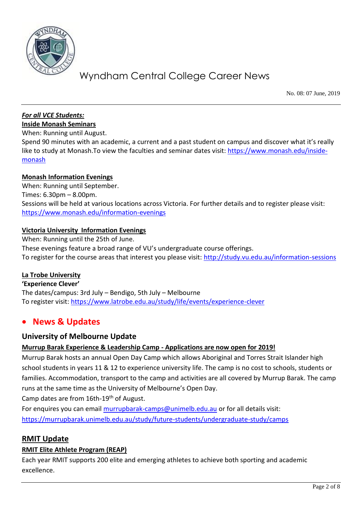

No. 08: 07 June, 2019

#### *For all VCE Students:* **Inside Monash Seminars**

When: Running until August.

Spend 90 minutes with an academic, a current and a past student on campus and discover what it's really like to study at Monash. To view the faculties and seminar dates visit: [https://www.monash.edu/inside](https://www.monash.edu/inside-monash)[monash](https://www.monash.edu/inside-monash)

#### **Monash Information Evenings**

When: Running until September. Times: 6.30pm – 8.00pm. Sessions will be held at various locations across Victoria. For further details and to register please visit: <https://www.monash.edu/information-evenings>

#### **Victoria University Information Evenings**

When: Running until the 25th of June. These evenings feature a broad range of VU's undergraduate course offerings. To register for the course areas that interest you please visit:<http://study.vu.edu.au/information-sessions>

#### **La Trobe University**

**'Experience Clever'**  The dates/campus: 3rd July – Bendigo, 5th July – Melbourne To register visit: <https://www.latrobe.edu.au/study/life/events/experience-clever>

### **News & Updates**

#### **University of Melbourne Update**

#### **Murrup Barak Experience & Leadership Camp - Applications are now open for 2019!**

Murrup Barak hosts an annual Open Day Camp which allows Aboriginal and Torres Strait Islander high school students in years 11 & 12 to experience university life. The camp is no cost to schools, students or families. Accommodation, transport to the camp and activities are all covered by Murrup Barak. The camp runs at the same time as the University of Melbourne's Open Day.

Camp dates are from 16th-19th of August.

For enquires you can email [murrupbarak-camps@unimelb.edu.au](mailto:murrupbarak-camps@unimelb.edu.au) or for all details visit: <https://murrupbarak.unimelb.edu.au/study/future-students/undergraduate-study/camps>

#### **RMIT Update**

#### **RMIT Elite Athlete Program (REAP)**

Each year RMIT supports 200 elite and emerging athletes to achieve both sporting and academic excellence.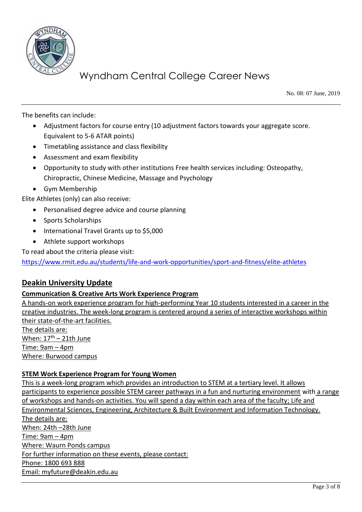

No. 08: 07 June, 2019

The benefits can include:

- Adjustment factors for course entry (10 adjustment factors towards your aggregate score. Equivalent to 5-6 ATAR points)
- Timetabling assistance and class flexibility
- Assessment and exam flexibility
- Opportunity to study with other institutions Free health services including: Osteopathy, Chiropractic, Chinese Medicine, Massage and Psychology
- Gym Membership

Elite Athletes (only) can also receive:

- Personalised degree advice and course planning
- Sports Scholarships
- International Travel Grants up to \$5,000
- Athlete support workshops

To read about the criteria please visit:

<https://www.rmit.edu.au/students/life-and-work-opportunities/sport-and-fitness/elite-athletes>

#### **Deakin University Update**

#### **Communication & Creative Arts Work Experience Program**

A hands-on work experience program for high-performing Year 10 students interested in a career in the creative industries. The week-long program is centered around a series of interactive workshops within their state-of-the-art facilities. The details are:

When:  $17^{\text{th}}$  – 21th June Time: 9am – 4pm Where: Burwood campus

#### **STEM Work Experience Program for Young Women**

This is a week-long program which provides an introduction to STEM at a tertiary level. It allows participants to experience possible STEM career pathways in a fun and nurturing environment with a range of workshops and hands-on activities. You will spend a day within each area of the faculty; Life and Environmental Sciences, Engineering, Architecture & Built Environment and Information Technology. The details are: When: 24th –28th June Time: 9am – 4pm Where: Waurn Ponds campus For further information on these events, please contact: Phone: 1800 693 888 Email: [myfuture@deakin.edu.au](mailto:myfuture@deakin.edu.au)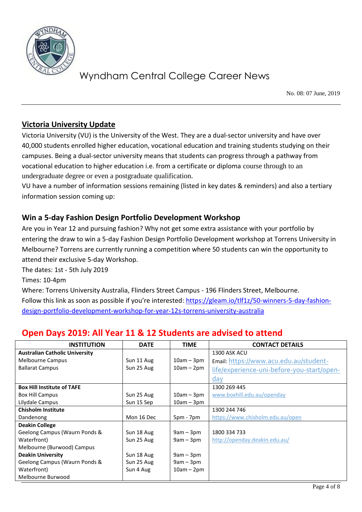

No. 08: 07 June, 2019

### **Victoria University Update**

Victoria University (VU) is the University of the West. They are a dual-sector university and have over 40,000 students enrolled higher education, vocational education and training students studying on their campuses. Being a dual-sector university means that students can progress through a pathway from vocational education to higher education i.e. from a certificate or diploma course through to an undergraduate degree or even a postgraduate qualification.

VU have a number of information sessions remaining (listed in key dates & reminders) and also a tertiary information session coming up:

### **Win a 5-day Fashion Design Portfolio Development Workshop**

Are you in Year 12 and pursuing fashion? Why not get some extra assistance with your portfolio by entering the draw to win a 5-day Fashion Design Portfolio Development workshop at Torrens University in Melbourne? Torrens are currently running a competition where 50 students can win the opportunity to attend their exclusive 5-day Workshop.

The dates: 1st - 5th July 2019

Times: 10-4pm

Where: Torrens University Australia, Flinders Street Campus - 196 Flinders Street, Melbourne. Follow this link as soon as possible if you're interested: [https://gleam.io/tlf1z/50-winners-5-day-fashion](https://gleam.io/tlf1z/50-winners-5-day-fashion-design-portfolio-development-workshop-for-year-12s-torrens-university-australia)[design-portfolio-development-workshop-for-year-12s-torrens-university-australia](https://gleam.io/tlf1z/50-winners-5-day-fashion-design-portfolio-development-workshop-for-year-12s-torrens-university-australia)

### **Open Days 2019: All Year 11 & 12 Students are advised to attend**

| <b>INSTITUTION</b>                    | <b>DATE</b> | <b>TIME</b>  | <b>CONTACT DETAILS</b>                     |
|---------------------------------------|-------------|--------------|--------------------------------------------|
| <b>Australian Catholic University</b> |             |              | 1300 ASK ACU                               |
| Melbourne Campus                      | Sun 11 Aug  | $10am - 3pm$ | Email: https://www.acu.edu.au/student-     |
| <b>Ballarat Campus</b>                | Sun 25 Aug  | $10am - 2pm$ | life/experience-uni-before-you-start/open- |
|                                       |             |              | day                                        |
| <b>Box Hill Institute of TAFE</b>     |             |              | 1300 269 445                               |
| <b>Box Hill Campus</b>                | Sun 25 Aug  | $10am - 3pm$ | www.boxhill.edu.au/openday                 |
| Lilydale Campus                       | Sun 15 Sep  | $10am - 3pm$ |                                            |
| <b>Chisholm Institute</b>             |             |              | 1300 244 746                               |
| Dandenong                             | Mon 16 Dec  | $5pm - 7pm$  | https://www.chisholm.edu.au/open           |
| <b>Deakin College</b>                 |             |              |                                            |
| Geelong Campus (Waurn Ponds &         | Sun 18 Aug  | $9am - 3pm$  | 1800 334 733                               |
| Waterfront)                           | Sun 25 Aug  | $9am - 3pm$  | http://openday.deakin.edu.au/              |
| Melbourne (Burwood) Campus            |             |              |                                            |
| <b>Deakin University</b>              | Sun 18 Aug  | $9am - 3pm$  |                                            |
| Geelong Campus (Waurn Ponds &         | Sun 25 Aug  | $9am - 3pm$  |                                            |
| Waterfront)                           | Sun 4 Aug   | $10am - 2pm$ |                                            |
| Melbourne Burwood                     |             |              |                                            |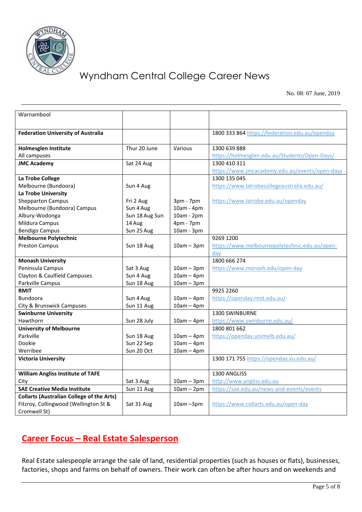

No. 08: 07 June, 2019

| Warnambool                                       |                |              |                                                |
|--------------------------------------------------|----------------|--------------|------------------------------------------------|
|                                                  |                |              |                                                |
|                                                  |                |              |                                                |
| <b>Federation University of Australia</b>        |                |              | 1800 333 864 https://federation.edu.au/openday |
|                                                  |                |              |                                                |
| <b>Holmesglen Institute</b>                      | Thur 20 June   | Various      | 1300 639 888                                   |
| All campuses                                     |                |              | https://holmesglen.edu.au/Students/Open-Days/  |
| <b>JMC Academy</b>                               | Sat 24 Aug     |              | 1300 410 311                                   |
|                                                  |                |              | https://www.jmcacademy.edu.au/events/open-days |
| La Trobe College                                 |                |              | 1300 135 045                                   |
| Melbourne (Bundoora)                             | Sun 4 Aug      |              | https://www.latrobecollegeaustralia.edu.au/    |
| La Trobe University                              |                |              |                                                |
| <b>Shepparton Campus</b>                         | Fri 2 Aug      | $3pm - 7pm$  | https://www.latrobe.edu.au/openday             |
| Melbourne (Bundoora) Campus                      | Sun 4 Aug      | 10am - 4pm   |                                                |
| Albury-Wodonga                                   | Sun 18 Aug Sun | 10am - 2pm   |                                                |
| Mildura Campus                                   | 14 Aug         | 4pm - 7pm    |                                                |
| <b>Bendigo Campus</b>                            | Sun 25 Aug     | 10am - 3pm   |                                                |
| <b>Melbourne Polytechnic</b>                     |                |              | 9269 1200                                      |
| <b>Preston Campus</b>                            | Sun 18 Aug     | $10am - 3pm$ | https://www.melbournepolytechnic.edu.au/open-  |
|                                                  |                |              | day                                            |
| <b>Monash University</b>                         |                |              | 1800 666 274                                   |
| Peninsula Campus                                 | Sat 3 Aug      | $10am - 3pm$ | https://www.monash.edu/open-day                |
| Clayton & Caulfield Campuses                     | Sun 4 Aug      | $10am - 4pm$ |                                                |
| Parkville Campus                                 | Sun 18 Aug     | $10am - 3pm$ |                                                |
| <b>RMIT</b>                                      |                |              | 9925 2260                                      |
| <b>Bundoora</b>                                  | Sun 4 Aug      | $10am - 4pm$ | https://openday.rmit.edu.au/                   |
| City & Brunswick Campuses                        | Sun 11 Aug     | $10am - 4pm$ |                                                |
| <b>Swinburne University</b>                      |                |              | 1300 SWINBURNE                                 |
| Hawthorn                                         | Sun 28 July    | $10am - 4pm$ | https://www.swinburne.edu.au/                  |
| <b>University of Melbourne</b>                   |                |              | 1800 801 662                                   |
| Parkville                                        | Sun 18 Aug     | $10am - 4pm$ | https://openday.unimelb.edu.au/                |
| Dookie                                           | Sun 22 Sep     | $10am - 4pm$ |                                                |
| Werribee                                         | Sun 20 Oct     | $10am - 4pm$ |                                                |
| <b>Victoria University</b>                       |                |              | 1300 171 755 https://openday.vu.edu.au/        |
|                                                  |                |              |                                                |
| <b>William Angliss Institute of TAFE</b>         |                |              | 1300 ANGLISS                                   |
| City                                             | Sat 3 Aug      | $10am - 3pm$ | http://www.angliss.edu.au                      |
| <b>SAE Creative Media Institute</b>              | Sun 11 Aug     | $10am - 2pm$ | https://sae.edu.au/news-and-events/events      |
| <b>Collarts (Australian College of the Arts)</b> |                |              |                                                |
| Fitzroy, Collingwood (Wellington St &            | Sat 31 Aug     | $10am - 3pm$ | https://www.collarts.edu.au/open-day           |
| Cromwell St)                                     |                |              |                                                |

### **Career Focus – Real Estate Salesperson**

Real Estate salespeople arrange the sale of land, residential properties (such as houses or flats), businesses, factories, shops and farms on behalf of owners. Their work can often be after hours and on weekends and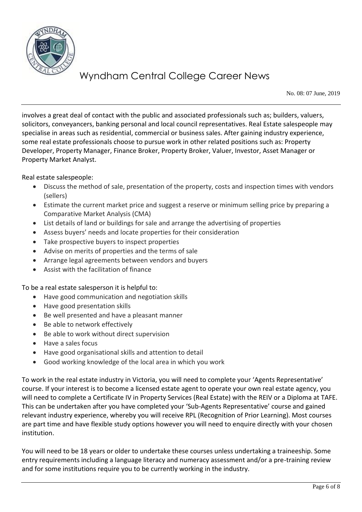

No. 08: 07 June, 2019

involves a great deal of contact with the public and associated professionals such as; builders, valuers, solicitors, conveyancers, banking personal and local council representatives. Real Estate salespeople may specialise in areas such as residential, commercial or business sales. After gaining industry experience, some real estate professionals choose to pursue work in other related positions such as: Property Developer, Property Manager, Finance Broker, Property Broker, Valuer, Investor, Asset Manager or Property Market Analyst.

Real estate salespeople:

- Discuss the method of sale, presentation of the property, costs and inspection times with vendors (sellers)
- Estimate the current market price and suggest a reserve or minimum selling price by preparing a Comparative Market Analysis (CMA)
- List details of land or buildings for sale and arrange the advertising of properties
- Assess buyers' needs and locate properties for their consideration
- Take prospective buyers to inspect properties
- Advise on merits of properties and the terms of sale
- Arrange legal agreements between vendors and buyers
- Assist with the facilitation of finance

To be a real estate salesperson it is helpful to:

- Have good communication and negotiation skills
- Have good presentation skills
- Be well presented and have a pleasant manner
- Be able to network effectively
- Be able to work without direct supervision
- Have a sales focus
- Have good organisational skills and attention to detail
- Good working knowledge of the local area in which you work

To work in the real estate industry in Victoria, you will need to complete your 'Agents Representative' course. If your interest is to become a licensed estate agent to operate your own real estate agency, you will need to complete a Certificate IV in Property Services (Real Estate) with the REIV or a Diploma at TAFE. This can be undertaken after you have completed your 'Sub-Agents Representative' course and gained relevant industry experience, whereby you will receive RPL (Recognition of Prior Learning). Most courses are part time and have flexible study options however you will need to enquire directly with your chosen institution.

You will need to be 18 years or older to undertake these courses unless undertaking a traineeship. Some entry requirements including a language literacy and numeracy assessment and/or a pre-training review and for some institutions require you to be currently working in the industry.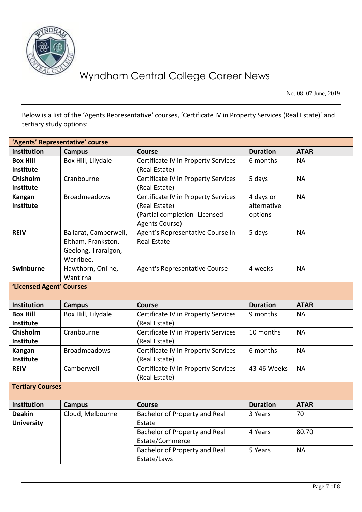

No. 08: 07 June, 2019

Below is a list of the 'Agents Representative' courses, 'Certificate IV in Property Services (Real Estate)' and tertiary study options:

| 'Agents' Representative' course |                       |                                     |                 |             |  |  |  |  |
|---------------------------------|-----------------------|-------------------------------------|-----------------|-------------|--|--|--|--|
| <b>Institution</b>              | <b>Campus</b>         | <b>Course</b>                       | <b>Duration</b> | <b>ATAR</b> |  |  |  |  |
| <b>Box Hill</b>                 | Box Hill, Lilydale    | Certificate IV in Property Services | 6 months        | <b>NA</b>   |  |  |  |  |
| Institute                       |                       | (Real Estate)                       |                 |             |  |  |  |  |
| Chisholm                        | Cranbourne            | Certificate IV in Property Services | 5 days          | <b>NA</b>   |  |  |  |  |
| <b>Institute</b>                |                       | (Real Estate)                       |                 |             |  |  |  |  |
| Kangan                          | <b>Broadmeadows</b>   | Certificate IV in Property Services | 4 days or       | <b>NA</b>   |  |  |  |  |
| <b>Institute</b>                |                       | (Real Estate)                       | alternative     |             |  |  |  |  |
|                                 |                       | (Partial completion- Licensed       | options         |             |  |  |  |  |
|                                 |                       | Agents Course)                      |                 |             |  |  |  |  |
| <b>REIV</b>                     | Ballarat, Camberwell, | Agent's Representative Course in    | 5 days          | <b>NA</b>   |  |  |  |  |
|                                 | Eltham, Frankston,    | <b>Real Estate</b>                  |                 |             |  |  |  |  |
|                                 | Geelong, Traralgon,   |                                     |                 |             |  |  |  |  |
|                                 | Werribee.             |                                     |                 |             |  |  |  |  |
| Swinburne                       | Hawthorn, Online,     | Agent's Representative Course       | 4 weeks         | <b>NA</b>   |  |  |  |  |
|                                 | Wantirna              |                                     |                 |             |  |  |  |  |
| 'Licensed Agent' Courses        |                       |                                     |                 |             |  |  |  |  |
|                                 |                       |                                     |                 |             |  |  |  |  |
|                                 |                       |                                     |                 |             |  |  |  |  |
| <b>Institution</b>              | <b>Campus</b>         | <b>Course</b>                       | <b>Duration</b> | <b>ATAR</b> |  |  |  |  |
| <b>Box Hill</b>                 | Box Hill, Lilydale    | Certificate IV in Property Services | 9 months        | <b>NA</b>   |  |  |  |  |
| Institute                       |                       | (Real Estate)                       |                 |             |  |  |  |  |
| Chisholm                        | Cranbourne            | Certificate IV in Property Services | 10 months       | <b>NA</b>   |  |  |  |  |
| Institute                       |                       | (Real Estate)                       |                 |             |  |  |  |  |
| Kangan                          | <b>Broadmeadows</b>   | Certificate IV in Property Services | 6 months        | <b>NA</b>   |  |  |  |  |
| <b>Institute</b>                |                       | (Real Estate)                       |                 |             |  |  |  |  |
| <b>REIV</b>                     | Camberwell            | Certificate IV in Property Services | 43-46 Weeks     | <b>NA</b>   |  |  |  |  |
|                                 |                       | (Real Estate)                       |                 |             |  |  |  |  |
| <b>Tertiary Courses</b>         |                       |                                     |                 |             |  |  |  |  |
| Institution                     | <b>Campus</b>         | <b>Course</b>                       | <b>Duration</b> | <b>ATAR</b> |  |  |  |  |
| <b>Deakin</b>                   | Cloud, Melbourne      | Bachelor of Property and Real       | 3 Years         | 70          |  |  |  |  |
| <b>University</b>               |                       | Estate                              |                 |             |  |  |  |  |
|                                 |                       | Bachelor of Property and Real       | 4 Years         | 80.70       |  |  |  |  |
|                                 |                       | Estate/Commerce                     |                 |             |  |  |  |  |
|                                 |                       | Bachelor of Property and Real       | 5 Years         | <b>NA</b>   |  |  |  |  |